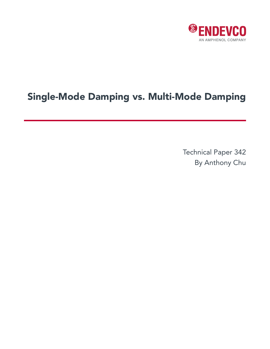

## Single-Mode Damping vs. Multi-Mode Damping

Technical Paper 342 By Anthony Chu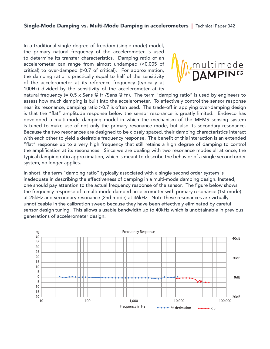In a traditional single degree of freedom (single mode) model, the primary natural frequency of the accelerometer is used to determine its transfer characteristics. Damping ratio of an  $\bigwedge$ accelerometer can range from almost undamped (<0.005 of natural frequency (= 0.5 x Sens @ fr /Sens @ fn). The term "damping ratio" is used by engineers to critical) to over-damped (>0.7 of critical). For approximation,  $\blacksquare$   $\blacksquare$   $\blacksquare$   $\blacksquare$   $\blacksquare$   $\blacksquare$   $\blacksquare$ the damping ratio is practically equal to half of the sensitivity  $\mathbf{W}^{\vee}$   $\mathbf{D}$ of the accelerometer at its reference frequency (typically at of the accelerometer at its reference requericy (typically at  $100$ Hz) divided by the sensitivity of the accelerometer at its can range from almost undamped (<0.005 of critical) to over-damped (>0.7 of critical). For



natural frequency (=  $0.5 \times$  Sens @ fr /Sens @ fn). The term "damping ratio" is used by engineers to assess how much damping is built into the accelerometer. To effectively control the sensor response near its resonance, damping ratio >0.7 is often used. The trade-off in applying over-damping design is that the "flat" amplitude response below the sensor resonance is greatly limited. Endevco has developed a multi-mode damping model in which the mechanism of the MEMS sensing system is tuned to make use of not only the primary resonance mode, but also its secondary resonance. Because the two resonances are designed to be closely spaced, their damping characteristics interact with each other to yield a desirable frequency response. The benefit of this interaction is an extended "flat" response up to a very high frequency that still retains a high degree of damping to control the amplification at its resonances. Since we are dealing with two resonance modes all at once, the typical damping ratio approximation, which is meant to describe the behavior of a single second order system, no longer applies. developed a very myn nequency that still retains a myn degree or damping to contri

In short, the term "damping ratio" typically associated with a single second order system is in short, the term champing ratio typically associated with a single second order system is<br>inadequate in describing the effectiveness of damping in a multi-mode damping design. Instead, one should pay attention to the actual frequency response of the sensor. The figure below shows the frequency response of a multi-mode damped accelerometer with primary resonance (1st mode)<br>under the calibration subset of a multi-mode damped accelerometer with primary resonance (1st mode) at 25kHz and secondary resonance (2nd mode) at 36kHz. Note these resonances are virtually unnoticeable in the calibration sweep because they have been effectively eliminated by careful sensor design tuning. This allows a usable bandwidth up to 40kHz which is unobtainable in previous the frequency response of a multi-mode damped accelerometer design. m describing the enectiveness of damping in a multi-mode damping design. instead, at 25kHz and secondary resonance (3nd  $\frac{1}{2}$  mode) at 36kHz. Note that 36kHz. Note that  $\frac{1}{2}$